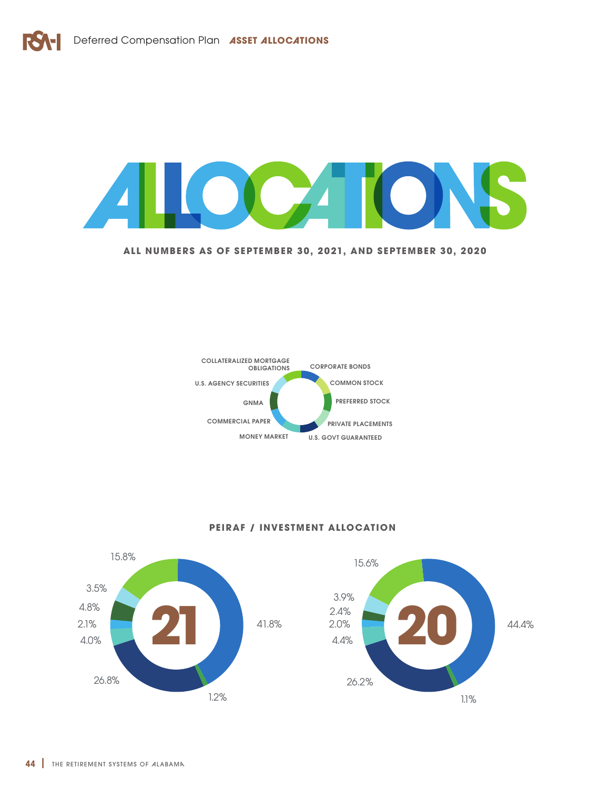

**ALL NUMBERS AS OF SEPTEMBER 30, 2021, AND SEPTEMBER 30, 2020**